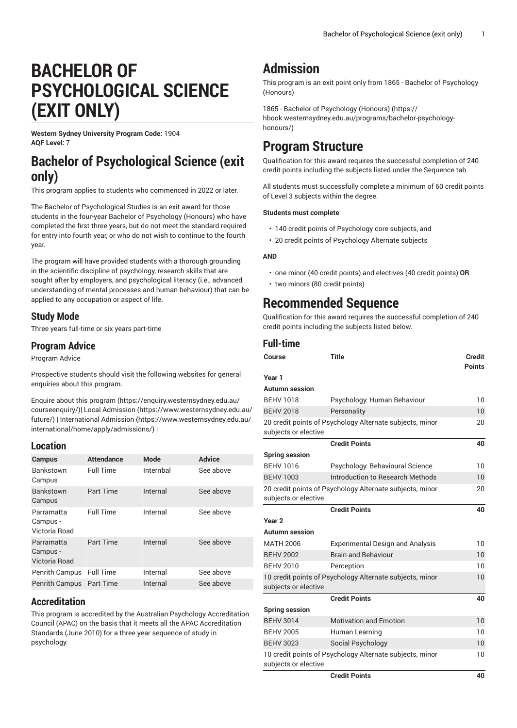# **BACHELOR OF PSYCHOLOGICAL SCIENCE (EXIT ONLY)**

**Western Sydney University Program Code:** 1904 **AQF Level:** 7

### **Bachelor of Psychological Science (exit only)**

This program applies to students who commenced in 2022 or later.

The Bachelor of Psychological Studies is an exit award for those students in the four-year Bachelor of Psychology (Honours) who have completed the first three years, but do not meet the standard required for entry into fourth year, or who do not wish to continue to the fourth year.

The program will have provided students with a thorough grounding in the scientific discipline of psychology, research skills that are sought after by employers, and psychological literacy (i.e., advanced understanding of mental processes and human behaviour) that can be applied to any occupation or aspect of life.

#### **Study Mode**

Three years full-time or six years part-time

#### **Program Advice**

Program Advice

Prospective students should visit the following websites for general enquiries about this program.

Enquire about this [program \(https://enquiry.westernsydney.edu.au/](https://enquiry.westernsydney.edu.au/courseenquiry/) [courseenquiry/](https://enquiry.westernsydney.edu.au/courseenquiry/))| [Local Admission \(https://www.westernsydney.edu.au/](https://www.westernsydney.edu.au/future/) [future/\)](https://www.westernsydney.edu.au/future/) | [International Admission](https://www.westernsydney.edu.au/international/home/apply/admissions/) ([https://www.westernsydney.edu.au/](https://www.westernsydney.edu.au/international/home/apply/admissions/) [international/home/apply/admissions/](https://www.westernsydney.edu.au/international/home/apply/admissions/)) |

#### **Location**

| <b>Campus</b>                           | <b>Attendance</b> | <b>Mode</b> | <b>Advice</b> |
|-----------------------------------------|-------------------|-------------|---------------|
| <b>Bankstown</b><br>Campus              | <b>Full Time</b>  | Internbal   | See above     |
| Bankstown<br>Campus                     | Part Time         | Internal    | See above     |
| Parramatta<br>Campus -<br>Victoria Road | <b>Full Time</b>  | Internal    | See above     |
| Parramatta<br>Campus -<br>Victoria Road | Part Time         | Internal    | See above     |
| Penrith Campus                          | <b>Full Time</b>  | Internal    | See above     |
| <b>Penrith Campus</b>                   | <b>Part Time</b>  | Internal    | See above     |

#### **Accreditation**

This program is accredited by the Australian Psychology Accreditation Council (APAC) on the basis that it meets all the APAC Accreditation Standards (June 2010) for a three year sequence of study in psychology.

## **Admission**

This program is an exit point only from 1865 - Bachelor of Psychology (Honours)

1865 - Bachelor of [Psychology](https://hbook.westernsydney.edu.au/programs/bachelor-psychology-honours/) (Honours) ([https://](https://hbook.westernsydney.edu.au/programs/bachelor-psychology-honours/) [hbook.westernsydney.edu.au/programs/bachelor-psychology](https://hbook.westernsydney.edu.au/programs/bachelor-psychology-honours/)[honours/](https://hbook.westernsydney.edu.au/programs/bachelor-psychology-honours/))

## **Program Structure**

Qualification for this award requires the successful completion of 240 credit points including the subjects listed under the Sequence tab.

All students must successfully complete a minimum of 60 credit points of Level 3 subjects within the degree.

#### **Students must complete**

- 140 credit points of Psychology core subjects, and
- 20 credit points of Psychology Alternate subjects

#### **AND**

- one minor (40 credit points) and electives (40 credit points) **OR**
- two minors (80 credit points)

## **Recommended Sequence**

Qualification for this award requires the successful completion of 240 credit points including the subjects listed below.

#### **Full-time**

| Course                | <b>Title</b>                                             | <b>Credit</b><br><b>Points</b> |
|-----------------------|----------------------------------------------------------|--------------------------------|
| Year 1                |                                                          |                                |
| Autumn session        |                                                          |                                |
| <b>BEHV 1018</b>      | Psychology: Human Behaviour                              | 10                             |
| <b>BEHV 2018</b>      | Personality                                              | 10                             |
| subjects or elective  | 20 credit points of Psychology Alternate subjects, minor | 20                             |
|                       | <b>Credit Points</b>                                     | 40                             |
| <b>Spring session</b> |                                                          |                                |
| <b>BEHV 1016</b>      | Psychology: Behavioural Science                          | 10                             |
| <b>BEHV 1003</b>      | Introduction to Research Methods                         | 10                             |
| subjects or elective  | 20 credit points of Psychology Alternate subjects, minor | 20                             |
|                       | <b>Credit Points</b>                                     | 40                             |
| Year <sub>2</sub>     |                                                          |                                |
| <b>Autumn session</b> |                                                          |                                |
| <b>MATH 2006</b>      | <b>Experimental Design and Analysis</b>                  | 10                             |
| <b>BEHV 2002</b>      | <b>Brain and Behaviour</b>                               | 10                             |
| <b>BEHV 2010</b>      | Perception                                               | 10                             |
| subjects or elective  | 10 credit points of Psychology Alternate subjects, minor | 10                             |
|                       | <b>Credit Points</b>                                     | 40                             |
| <b>Spring session</b> |                                                          |                                |
| <b>BEHV 3014</b>      | <b>Motivation and Emotion</b>                            | 10                             |
| <b>BEHV 2005</b>      | Human Learning                                           | 10                             |
| <b>BEHV 3023</b>      | Social Psychology                                        | 10                             |
| subjects or elective  | 10 credit points of Psychology Alternate subjects, minor | 10                             |
|                       | Cradit Dointe                                            | л∩                             |